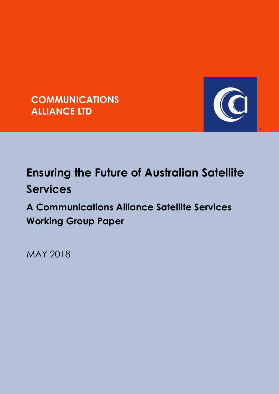



 $\circledR$ 

# **Ensuring the Future of Australian Satellite Services**

**A Communications Alliance Satellite Services Working Group Paper** 

MAY 2018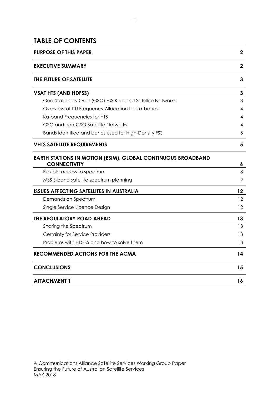#### **TABLE OF CONTENTS**

| <b>PURPOSE OF THIS PAPER</b>                                                               | $\boldsymbol{2}$ |
|--------------------------------------------------------------------------------------------|------------------|
| <b>EXECUTIVE SUMMARY</b>                                                                   | $\mathbf 2$      |
| THE FUTURE OF SATELLITE                                                                    | 3                |
| <b>VSAT HTS (AND HDFSS)</b>                                                                | 3                |
| Geo-Stationary Orbit (GSO) FSS Ka-band Satellite Networks                                  | 3                |
| Overview of ITU Frequency Allocation for Ka-bands.                                         | 4                |
| Ka-band Frequencies for HTS                                                                | 4                |
| GSO and non-GSO Satellite Networks                                                         | 4                |
| Bands identified and bands used for High-Density FSS                                       | 5                |
| <b>VHTS SATELLITE REQUIREMENTS</b>                                                         | 5                |
| <b>EARTH STATIONS IN MOTION (ESIM), GLOBAL CONTINUOUS BROADBAND</b><br><b>CONNECTIVITY</b> | 6                |
| Flexible access to spectrum                                                                | 8                |
| MSS S-band satellite spectrum planning                                                     | 9                |
| <b>ISSUES AFFECTING SATELLITES IN AUSTRALIA</b>                                            | 12               |
| Demands on Spectrum                                                                        | 12               |
| Single Service Licence Design                                                              | 12               |
| THE REGULATORY ROAD AHEAD                                                                  | 13               |
| Sharing the Spectrum                                                                       | 13               |
| Certainty for Service Providers                                                            | 13               |
| Problems with HDFSS and how to solve them                                                  | 13               |
| <b>RECOMMENDED ACTIONS FOR THE ACMA</b>                                                    | 14               |
| <b>CONCLUSIONS</b>                                                                         | 15               |
| <b>ATTACHMENT 1</b>                                                                        | 16               |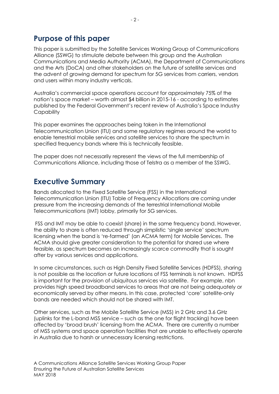### <span id="page-2-0"></span>**Purpose of this paper**

This paper is submitted by the Satellite Services Working Group of Communications Alliance (SSWG) to stimulate debate between this group and the Australian Communications and Media Authority (ACMA), the Department of Communications and the Arts (DoCA) and other stakeholders on the future of satellite services and the advent of growing demand for spectrum for 5G services from carriers, vendors and users within many industry verticals.

Australia's commercial space operations account for approximately 75% of the nation's space market – worth almost \$4 billion in 2015-16 - according to estimates published by the Federal Government's recent review of Australia's Space Industry **Capability** 

This paper examines the approaches being taken in the International Telecommunication Union (ITU) and some regulatory regimes around the world to enable terrestrial mobile services and satellite services to share the spectrum in specified frequency bands where this is technically feasible.

<span id="page-2-1"></span>The paper does not necessarily represent the views of the full membership of Communications Alliance, including those of Telstra as a member of the SSWG.

### **Executive Summary**

Bands allocated to the Fixed Satellite Service (FSS) in the International Telecommunication Union (ITU) Table of Frequency Allocations are coming under pressure from the increasing demands of the terrestrial International Mobile Telecommunications (IMT) lobby, primarily for 5G services.

FSS and IMT may be able to coexist (share) in the same frequency band. However, the ability to share is often reduced through simplistic 'single service' spectrum licensing when the band is 're-farmed' (an ACMA term) for Mobile Services. The ACMA should give greater consideration to the potential for shared use where feasible, as spectrum becomes an increasingly scarce commodity that is sought after by various services and applications.

In some circumstances, such as High Density Fixed Satellite Services (HDFSS), sharing is not possible as the location or future locations of FSS terminals is not known. HDFSS is important for the provision of ubiquitous services via satellite. For example, nbn provides high speed broadband services to areas that are not being adequately or economically served by other means. In this case, protected 'core' satellite-only bands are needed which should not be shared with IMT.

Other services, such as the Mobile Satellite Service (MSS) in 2 GHz and 3.6 GHz (uplinks for the L-band MSS service – such as the one for flight tracking) have been affected by 'broad brush' licensing from the ACMA. There are currently a number of MSS systems and space operation facilities that are unable to effectively operate in Australia due to harsh or unnecessary licensing restrictions.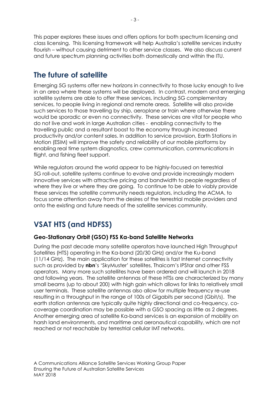This paper explores these issues and offers options for both spectrum licensing and class licensing. This licensing framework will help Australia's satellite services industry flourish – without causing detriment to other service classes. We also discuss current and future spectrum planning activities both domestically and within the ITU.

# <span id="page-3-0"></span>**The future of satellite**

Emerging 5G systems offer new horizons in connectivity to those lucky enough to live in an area where these systems will be deployed. In contrast, modern and emerging satellite systems are able to offer these services, including 5G complementary services, to people living in regional and remote areas. Satellite will also provide such services to those travelling by ship, aeroplane or train where otherwise there would be sporadic or even no connectivity. These services are vital for people who do not live and work in large Australian cities - enabling connectivity to the travelling public and a resultant boost to the economy through increased productivity and/or content sales. In addition to service provision, Earth Stations in Motion (ESIM) will improve the safety and reliability of our mobile platforms by enabling real time system diagnostics, crew communication, communications in flight, and fishing fleet support.

While regulators around the world appear to be highly-focused on terrestrial 5G roll-out, satellite systems continue to evolve and provide increasingly modern innovative services with attractive pricing and bandwidth to people regardless of where they live or where they are going. To continue to be able to viably provide these services the satellite community needs regulators, including the ACMA, to focus some attention away from the desires of the terrestrial mobile providers and onto the existing and future needs of the satellite services community.

# <span id="page-3-1"></span>**VSAT HTS (and HDFSS)**

#### <span id="page-3-2"></span>**Geo-Stationary Orbit (GSO) FSS Ka-band Satellite Networks**

During the past decade many satellite operators have launched High Throughput Satellites (HTS) operating in the Ka-band (20/30 GHz) and/or the Ku-band (11/14 GHz). The main application for these satellites is fast Internet connectivity such as provided by **nbn**'s 'SkyMuster' satellites, Thaicom's IPStar and other FSS operators. Many more such satellites have been ordered and will launch in 2018 and following years. The satellite antennas of these HTSs are characterized by many small beams (up to about 200) with high gain which allows for links to relatively small user terminals. These satellite antennas also allow for multiple frequency re-use resulting in a throughput in the range of 100s of Gigabits per second (Gbit/s). The earth station antennas are typically quite highly directional and co-frequency, cocoverage coordination may be possible with a GSO spacing as little as 2 degrees. Another emerging area of satellite Ka-band services is an expansion of mobility on harsh land environments, and maritime and aeronautical capability, which are not reached or not reachable by terrestrial cellular IMT networks.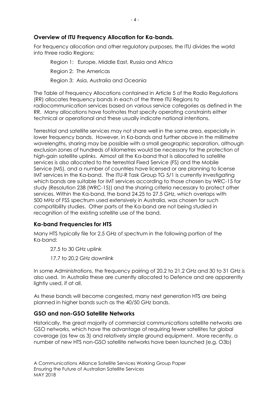#### <span id="page-4-0"></span>**Overview of ITU Frequency Allocation for Ka-bands.**

For frequency allocation and other regulatory purposes, the ITU divides the world into three radio Regions:

Region 1: Europe, Middle East, Russia and Africa Region 2: The Americas Region 3: Asia, Australia and Oceania

The Table of Frequency Allocations contained in Article 5 of the Radio Regulations (RR) allocates frequency bands in each of the three ITU Regions to radiocommunication services based on various service categories as defined in the RR. Many allocations have footnotes that specify operating constraints either technical or operational and these usually indicate national intentions.

Terrestrial and satellite services may not share well in the same area, especially in lower frequency bands. However, in Ka-bands and further above in the millimetre wavelengths, sharing may be possible with a small geographic separation, although exclusion zones of hundreds of kilometres would be necessary for the protection of high-gain satellite uplinks. Almost all the Ka-band that is allocated to satellite services is also allocated to the terrestrial Fixed Service (FS) and the Mobile Service (MS), and a number of countries have licensed or are planning to license IMT services in the Ka-band. The ITU-R Task Group TG 5/1 is currently investigating which bands are suitable for IMT services according to those chosen by WRC-15 for study (Resolution 238 (WRC-15)) and the sharing criteria necessary to protect other services. Within the Ka-band, the band 24.25 to 27.5 GHz, which overlaps with 500 MHz of FSS spectrum used extensively in Australia, was chosen for such compatibility studies. Other parts of the Ka-band are not being studied in recognition of the existing satellite use of the band.

#### <span id="page-4-1"></span>**Ka-band Frequencies for HTS**

Many HTS typically file for 2.5 GHz of spectrum in the following portion of the Ka-band:

27.5 to 30 GHz uplink

17.7 to 20.2 GHz downlink

In some Administrations, the frequency pairing of 20.2 to 21.2 GHz and 30 to 31 GHz is also used. In Australia these are currently allocated to Defence and are apparently lightly used, if at all.

As these bands will become congested, many next generation HTS are being planned in higher bands such as the 40/50 GHz bands.

#### <span id="page-4-2"></span>**GSO and non-GSO Satellite Networks**

Historically, the great majority of commercial communications satellite networks are GSO networks, which have the advantage of requiring fewer satellites for global coverage (as few as 3) and relatively simple ground equipment. More recently, a number of new HTS non-GSO satellite networks have been launched (e.g. O3b)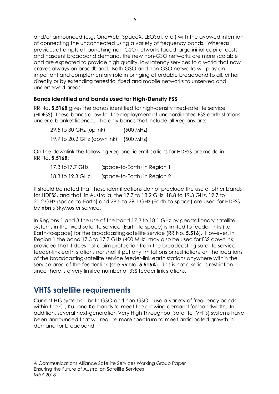and/or announced (e.g. OneWeb, SpaceX, LEOSat, etc.) with the avowed intention of connecting the unconnected using a variety of frequency bands. Whereas previous attempts at launching non-GSO networks faced large initial capital costs and nascent broadband demand, the new non-GSO networks are more scalable and are expected to provide high quality, low latency services to a world that now craves always-on broadband. Both GSO and non-GSO networks will play an important and complementary role in bringing affordable broadband to all, either directly or by extending terrestrial fixed and mobile networks to unserved and underserved areas.

#### <span id="page-5-0"></span>**Bands identified and bands used for High-Density FSS**

RR No. **5.516B** gives the bands identified for high-density fixed-satellite service (HDFSS). These bands allow for the deployment of uncoordinated FSS earth stations under a blanket licence. The only bands that include all Regions are:

| 29.5 to 30 GHz (uplink)     | (500 MHz) |
|-----------------------------|-----------|
| 19.7 to 20.2 GHz (downlink) | (500 MHz) |

On the downlink the following Regional identifications for HDFSS are made in RR No. **5.516B**:

| 17.3 to 17.7 GHz | (space-to-Earth) in Region 1 |
|------------------|------------------------------|
| 18.3 to 19.3 GHz | (space-to-Earth) in Region 2 |

It should be noted that these identifications do not preclude the use of other bands for HDFSS, and that, in Australia, the 17.7 to 18.2 GHz, 18.8 to 19.3 GHz, 19.7 to 20.2 GHz (space-to-Earth) and 28.5 to 29.1 GHz (Earth-to-space) are used for HDFSS by **nbn**'s SkyMuster service.

In Regions 1 and 3 the use of the band 17.3 to 18.1 GHz by geostationary-satellite systems in the fixed-satellite service (Earth-to-space) is limited to feeder links (i.e. Earth-to-space) for the broadcasting-satellite service (RR No. **5.516**). However, in Region 1 the band 17.3 to 17.7 GHz (400 MHz) may also be used for FSS downlink, provided that it does not claim protection from the broadcasting-satellite service feeder-link earth stations nor shall it put any limitations or restrictions on the locations of the broadcasting-satellite service feeder-link earth stations anywhere within the service area of the feeder link (see RR No. **5.516A**). This is not a serious restriction since there is a very limited number of BSS feeder link stations.

### <span id="page-5-1"></span>**VHTS satellite requirements**

Current HTS systems – both GSO and non-GSO – use a variety of frequency bands within the C-, Ku- and Ka-bands to meet the growing demand for bandwidth. In addition, several next-generation Very High Throughput Satellite (VHTS) systems have been announced that will require more spectrum to meet anticipated growth in demand for broadband.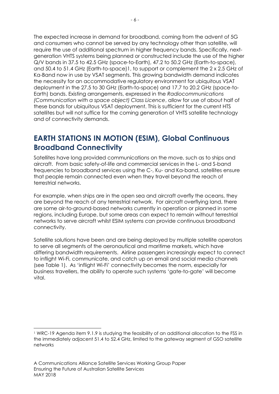The expected increase in demand for broadband, coming from the advent of 5G and consumers who cannot be served by any technology other than satellite, will require the use of additional spectrum in higher frequency bands. Specifically, nextgeneration VHTS systems being planned or constructed include the use of the higher Q/V bands in 37.5 to 42.5 GHz (space-to-Earth), 47.2 to 50.2 GHz (Earth-to-space), and 50.4 to 51.4 GHz (Earth-to-space)1, to support or complement the 2 x 2.5 GHz of Ka-Band now in use by VSAT segments. This growing bandwidth demand indicates the necessity for an accommodative regulatory environment for ubiquitous VSAT deployment in the 27.5 to 30 GHz (Earth-to-space) and 17.7 to 20.2 GHz (space-to-Earth) bands. Existing arrangements, expressed in the *Radiocommunications (Communication with a space object) Class Licence*, allow for use of about half of these bands for ubiquitous VSAT deployment. This is sufficient for the current HTS satellites but will not suffice for the coming generation of VHTS satellite technology and of connectivity demands.

## <span id="page-6-0"></span>**EARTH STATIONS IN MOTION (ESIM), Global Continuous Broadband Connectivity**

Satellites have long provided communications on the move, such as to ships and aircraft. From basic safety-of-life and commercial services in the L- and S-band frequencies to broadband services using the C-, Ku- and Ka-band, satellites ensure that people remain connected even when they travel beyond the reach of terrestrial networks.

For example, when ships are in the open sea and aircraft overfly the oceans, they are beyond the reach of any terrestrial network. For aircraft overflying land, there are some air-to-ground-based networks currently in operation or planned in some regions, including Europe, but some areas can expect to remain without terrestrial networks to serve aircraft whilst ESIM systems can provide continuous broadband connectivity.

Satellite solutions have been and are being deployed by multiple satellite operators to serve all segments of the aeronautical and maritime markets, which have differing bandwidth requirements. Airline passengers increasingly expect to connect to inflight Wi-Fi, communicate, and catch up on email and social media channels (see Table 1). As 'inflight Wi-Fi' connectivity becomes the norm, especially for business travellers, the ability to operate such systems 'gate-to-gate' will become vital.

l

<sup>1</sup> WRC-19 Agenda item 9.1.9 is studying the feasibility of an additional allocation to the FSS in the immediately adjacent 51.4 to 52.4 GHz, limited to the gateway segment of GSO satellite networks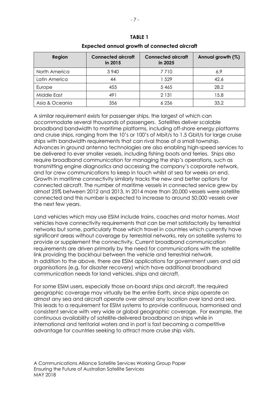| Region         | <b>Connected aircraft</b><br>in 2015 | <b>Connected aircraft</b><br>in 2025 | Annual growth (%) |
|----------------|--------------------------------------|--------------------------------------|-------------------|
| North America  | 3 9 4 0                              | 7 7 1 0                              | 6.9               |
| Latin America  | 44                                   | 1 529                                | 42.6              |
| Europe         | 455                                  | 5 4 6 5                              | 28.2              |
| Middle East    | 491                                  | 2 1 3 1                              | 15.8              |
| Asia & Oceania | 356                                  | 6 256                                | 33.2              |

#### **TABLE 1 Expected annual growth of connected aircraft**

A similar requirement exists for passenger ships, the largest of which can accommodate several thousands of passengers. Satellites deliver scalable broadband bandwidth to maritime platforms, including off-shore energy platforms and cruise ships, ranging from the 10's or 100's of Mbit/s to 1.5 Gbit/s for large cruise ships with bandwidth requirements that can rival those of a small township. Advances in ground antenna technologies are also enabling high-speed services to be delivered to ever smaller vessels, including fishing boats and ferries. Ships also require broadband communication for managing the ship's operations, such as transmitting engine diagnostics and accessing the company's corporate network, and for crew communications to keep in touch whilst at sea for weeks on end. Growth in maritime connectivity similarly tracks the new and better options for connected aircraft. The number of maritime vessels in connected service grew by almost 25% between 2012 and 2013. In 2014 more than 20,000 vessels were satellite connected and this number is expected to increase to around 50,000 vessels over the next few years.

Land vehicles which may use ESIM include trains, coaches and motor homes. Most vehicles have connectivity requirements that can be met satisfactorily by terrestrial networks but some, particularly those which travel in countries which currently have significant areas without coverage by terrestrial networks, rely on satellite systems to provide or supplement the connectivity. Current broadband communication requirements are driven primarily by the need for communications with the satellite link providing the backhaul between the vehicle and terrestrial network. In addition to the above, there are ESIM applications for government users and aid organisations (e.g. for disaster recovery) which have additional broadband communication needs for land vehicles, ships and aircraft.

For some ESIM users, especially those on-board ships and aircraft, the required geographic coverage may virtually be the entire Earth, since ships operate on almost any sea and aircraft operate over almost any location over land and sea. This leads to a requirement for ESIM systems to provide continuous, harmonised and consistent service with very wide or global geographic coverage. For example, the continuous availability of satellite-delivered broadband on ships while in international and territorial waters and in port is fast becoming a competitive advantage for countries seeking to attract more cruise ship visits.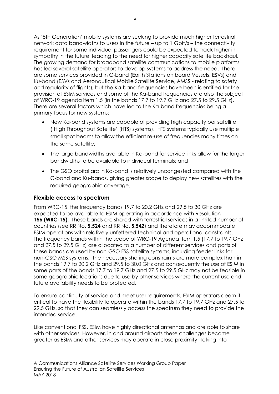As '5th Generation' mobile systems are seeking to provide much higher terrestrial network data bandwidths to users in the future – up to 1 Gbit/s – the connectivity requirement for some individual passengers could be expected to track higher in sympathy in the future, leading to the need for higher capacity satellite backhaul. The growing demand for broadband satellite communications to mobile platforms has led several satellite operators to develop systems to address the need. There are some services provided in C-band (Earth Stations on board Vessels, ESVs) and Ku-band (ESVs and Aeronautical Mobile Satellite Service, AMSS - relating to safety and regularity of flights), but the Ka-band frequencies have been identified for the provision of ESIM services and some of the Ka-band frequencies are also the subject of WRC-19 agenda item 1.5 (in the bands 17.7 to 19.7 GHz and 27.5 to 29.5 GHz). There are several factors which have led to the Ka-band frequencies being a primary focus for new systems:

- New Ka-band systems are capable of providing high capacity per satellite ('High Throughput Satellite' (HTS) systems). HTS systems typically use multiple small spot beams to allow the efficient re-use of frequencies many times on the same satellite;
- The large bandwidths available in Ka-band for service links allow for the larger bandwidths to be available to individual terminals; and
- The GSO orbital arc in Ka-band is relatively uncongested compared with the C-band and Ku-bands, giving greater scope to deploy new satellites with the required geographic coverage.

#### <span id="page-8-0"></span>**Flexible access to spectrum**

From WRC-15, the frequency bands 19.7 to 20.2 GHz and 29.5 to 30 GHz are expected to be available to ESIM operating in accordance with Resolution **156 (WRC-15)**. These bands are shared with terrestrial services in a limited number of countries (see RR No. **5.524** and RR No. **5.542**) and therefore may accommodate ESIM operations with relatively unfettered technical and operational constraints. The frequency bands within the scope of WRC-19 Agenda Item 1.5 (17.7 to 19.7 GHz and 27.5 to 29.5 GHz) are allocated to a number of different services and parts of these bands are used by non-GSO FSS satellite systems, including feeder links for non-GSO MSS systems. The necessary sharing constraints are more complex than in the bands 19.7 to 20.2 GHz and 29.5 to 30.0 GHz and consequently the use of ESIM in some parts of the bands 17.7 to 19.7 GHz and 27.5 to 29.5 GHz may not be feasible in some geographic locations due to use by other services where the current use and future availability needs to be protected.

To ensure continuity of service and meet user requirements, ESIM operators deem it critical to have the flexibility to operate within the bands 17.7 to 19.7 GHz and 27.5 to 29.5 GHz, so that they can seamlessly access the spectrum they need to provide the intended service.

Like conventional FSS, ESIM have highly directional antennas and are able to share with other services. However, in and around airports these challenges become greater as ESIM and other services may operate in close proximity. Taking into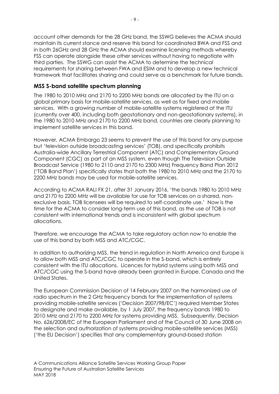account other demands for the 28 GHz band, the SSWG believes the ACMA should maintain its current stance and reserve this band for coordinated BWA and FSS and in both 26GHz and 28 GHz the ACMA should examine licensing methods whereby FSS can operate alongside these other services without having to negotiate with third parties. The SSWG can assist the ACMA to determine the technical requirements for sharing between FWA and ESIM and to develop a new technical framework that facilitates sharing and could serve as a benchmark for future bands.

#### <span id="page-9-0"></span>**MSS S-band satellite spectrum planning**

The 1980 to 2010 MHz and 2170 to 2200 MHz bands are allocated by the ITU on a global primary basis for mobile-satellite services, as well as for fixed and mobile services. With a growing number of mobile-satellite systems registered at the ITU (currently over 400, including both geostationary and non-geostationary systems), in the 1980 to 2010 MHz and 2170 to 2200 MHz band, countries are clearly planning to implement satellite services in this band.

However, ACMA Embargo 23 seems to prevent the use of this band for any purpose but 'television outside broadcasting services' (TOB), and specifically prohibits Australia-wide Ancillary Terrestrial Component (ATC) and Complementary Ground Component (CGC) as part of an MSS system, even though The Television Outside Broadcast Service (1980 to 2110 and 2170 to 2300 MHz) Frequency Band Plan 2012 ('TOB Band Plan') specifically states that both the 1980 to 2010 MHz and the 2170 to 2200 MHz bands may be used for mobile-satellite services.

According to ACMA RALI FX 21, after 31 January 2016, 'the bands 1980 to 2010 MHz and 2170 to 2200 MHz will be available for use for TOB services on a shared, nonexclusive basis. TOB licensees will be required to self-coordinate use.' Now is the time for the ACMA to consider long-term use of this band, as the use of TOB is not consistent with international trends and is inconsistent with global spectrum allocations.

Therefore, we encourage the ACMA to take regulatory action now to enable the use of this band by both MSS and ATC/CGC.

In addition to authorizing MSS, the trend in regulation in North America and Europe is to allow both MSS and ATC/CGC to operate in the S-band, which is entirely consistent with the ITU allocations. Licences for hybrid systems using both MSS and ATC/CGC using the S-band have already been granted in Europe, Canada and the United States.

The European Commission Decision of 14 February 2007 on the harmonized use of radio spectrum in the 2 GHz frequency bands for the implementation of systems providing mobile-satellite services ('Decision 2007/98/EC') required Member States to designate and make available, by 1 July 2007, the frequency bands 1980 to 2010 MHz and 2170 to 2200 MHz for systems providing MSS. Subsequently, Decision No. 626/2008/EC of the European Parliament and of the Council of 30 June 2008 on the selection and authorization of systems providing mobile-satellite services (MSS) ('the EU Decision') specifies that any complementary ground-based station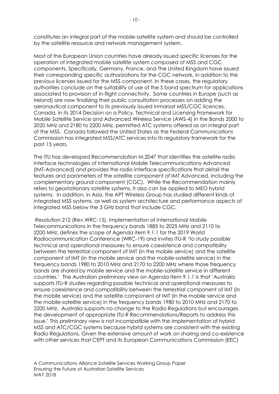constitutes an integral part of the mobile-satellite system and should be controlled by the satellite resource and network management system.

Most of the European Union countries have already issued specific licenses for the operation of integrated mobile satellite system composed of MSS and CGC components. Specifically, Germany, France, and The United Kingdom have issued their corresponding specific authorizations for the CGC network, in addition to the previous licenses issued for the MSS component. In these cases, the regulatory authorities conclude on the suitability of use of the S band spectrum for applications associated to provision of in-flight connectivity. Some countries in Europe (such as Ireland) are now finalizing their public consultation processes on adding the aeronautical component to its previously issued Inmarsat MSS/CGC licences, Canada, in its 2014 Decision on a Policy, Technical and Licensing Framework for Mobile Satellite Service and Advanced Wireless Service (AWS-4) in the Bands 2000 to 2020 MHz and 2180 to 2200 MHz, permitted ATC systems offered as an integral part of the MSS. Canada followed the United States as the Federal Communications Commission has integrated MSS/ATC services into its regulatory framework for the past 15 years.

The ITU has developed Recommendation M.2047 that identifies the satellite radio interface technologies of International Mobile Telecommunications-Advanced (IMT-Advanced) and provides the radio interface specifications that detail the features and parameters of the satellite component of IMT Advanced, including the complementary ground component (CGC). While the Recommendation mainly refers to geostationary satellite systems, it also can be applied to MEO hybrid systems. In addition, in Asia, the APT Wireless Group has studied different kinds of integrated MSS systems, as well as system architecture and performance aspects of integrated MSS below the 3 GHz band that include CGC.

Resolution 212 (Rev.WRC-15), Implementation of International Mobile Telecommunications in the frequency bands 1885 to 2025 MHz and 2110 to 2200 MHz, defines the scope of Agenda item 9.1.1 for the 2019 World Radiocommunication Conference (WRC-19) and invites ITU-R 'to study possible technical and operational measures to ensure coexistence and compatibility between the terrestrial component of IMT (in the mobile service) and the satellite component of IMT (in the mobile service and the mobile-satellite service) in the frequency bands 1980 to 2010 MHz and 2170 to 2200 MHz where those frequency bands are shared by mobile service and the mobile-satellite service in different countries.' The Australian preliminary view on Agenda Item 9.1.1 is that 'Australia supports ITU-R studies regarding possible technical and operational measures to ensure coexistence and compatibility between the terrestrial component of IMT (in the mobile service) and the satellite component of IMT (in the mobile service and the mobile-satellite service) in the frequency bands 1980 to 2010 MHz and 2170 to 2200 MHz. Australia supports no change to the Radio Regulations but encourages the development of appropriate ITU-R Recommendations/Reports to address this issue.' This preliminary view is not incompatible with the implementation of hybrid MSS and ATC/CGC systems because hybrid systems are consistent with the existing Radio Regulations. Given the extensive amount of work on sharing and co-existence with other services that CEPT and its European Communications Commission (EEC)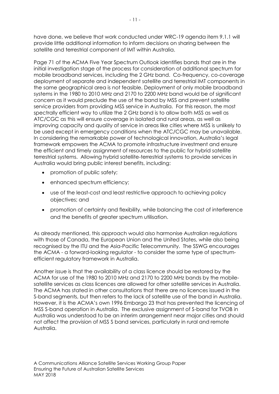have done, we believe that work conducted under WRC-19 agenda item 9.1.1 will provide little additional information to inform decisions on sharing between the satellite and terrestrial component of IMT within Australia.

Page 71 of the ACMA Five Year Spectrum Outlook identifies bands that are in the initial investigation stage of the process for consideration of additional spectrum for mobile broadband services, including the 2 GHz band. Co-frequency, co-coverage deployment of separate and independent satellite and terrestrial IMT components in the same geographical area is not feasible. Deployment of only mobile broadband systems in the 1980 to 2010 MHz and 2170 to 2200 MHz band would be of significant concern as it would preclude the use of the band by MSS and prevent satellite service providers from providing MSS service in Australia. For this reason, the most spectrally efficient way to utilize the 2 GHz band is to allow both MSS as well as ATC/CGC as this will ensure coverage in isolated and rural areas, as well as improving capacity and quality of service in areas like cities where MSS is unlikely to be used except in emergency conditions when the ATC/CGC may be unavailable. In considering the remarkable power of technological innovation, Australia's legal framework empowers the ACMA to promote infrastructure investment and ensure the efficient and timely assignment of resources to the public for hybrid satellite terrestrial systems. Allowing hybrid satellite-terrestrial systems to provide services in Australia would bring public interest benefits, including:

- promotion of public safety;
- enhanced spectrum efficiency;
- use of the least-cost and least restrictive approach to achieving policy objectives; and
- promotion of certainty and flexibility, while balancing the cost of interference and the benefits of greater spectrum utilisation.

As already mentioned, this approach would also harmonise Australian regulations with those of Canada, the European Union and the United States, while also being recognised by the ITU and the Asia-Pacific Telecommunity. The SSWG encourages the ACMA - a forward-looking regulator - to consider the same type of spectrumefficient regulatory framework in Australia.

Another issue is that the availability of a class licence should be restored by the ACMA for use of the 1980 to 2010 MHz and 2170 to 2200 MHz bands by the mobilesatellite services as class licences are allowed for other satellite services in Australia. The ACMA has stated in other consultations that there are no licences issued in the S-band segments, but then refers to the lack of satellite use of the band in Australia. However, it is the ACMA's own 1996 Embargo 23 that has prevented the licencing of MSS S-band operation in Australia. The exclusive assignment of S-band for TVOB in Australia was understood to be an interim arrangement near major cities and should not affect the provision of MSS S band services, particularly in rural and remote Australia.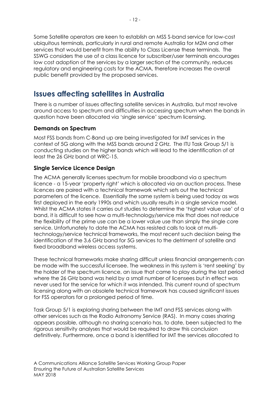Some Satellite operators are keen to establish an MSS S-band service for low-cost ubiquitous terminals, particularly in rural and remote Australia for M2M and other services that would benefit from the ability to Class License these terminals. The SSWG considers the use of a class licence for subscriber/user terminals encourages low cost adoption of the services by a larger section of the community, reduces regulatory and engineering costs for the ACMA, therefore increases the overall public benefit provided by the proposed services.

### <span id="page-12-0"></span>**Issues affecting satellites in Australia**

There is a number of issues affecting satellite services in Australia, but most revolve around access to spectrum and difficulties in accessing spectrum when the bands in question have been allocated via 'single service' spectrum licensing.

#### <span id="page-12-1"></span>**Demands on Spectrum**

Most FSS bands from C-Band up are being investigated for IMT services in the context of 5G along with the MSS bands around 2 GHz. The ITU Task Group 5/1 is conducting studies on the higher bands which will lead to the identification of at least the 26 GHz band at WRC-15.

#### <span id="page-12-2"></span>**Single Service Licence Design**

The ACMA generally licenses spectrum for mobile broadband via a spectrum licence - a 15-year 'property right' which is allocated via an auction process. These licences are paired with a technical framework which sets out the technical parameters of the licence. Essentially the same system is being used today as was first deployed in the early 1990s and which usually results in a single service model. Whilst the ACMA states it carries out studies to determine the 'highest value use' of a band, it is difficult to see how a multi-technology/service mix that does not reduce the flexibility of the prime use can be a lower value use than simply the single core service. Unfortunately to date the ACMA has resisted calls to look at multitechnology/service technical frameworks, the most recent such decision being the identification of the 3.6 GHz band for 5G services to the detriment of satellite and fixed broadband wireless access systems.

These technical frameworks make sharing difficult unless financial arrangements can be made with the successful licensee. The weakness in this system is 'rent seeking' by the holder of the spectrum licence, an issue that came to play during the last period where the 26 GHz band was held by a small number of licensees but in effect was never used for the service for which it was intended. This current round of spectrum licensing along with an obsolete technical framework has caused significant issues for FSS operators for a prolonged period of time.

Task Group 5/1 is exploring sharing between the IMT and FSS services along with other services such as the Radio Astronomy Service (RAS). In many cases sharing appears possible, although no sharing scenario has, to date, been subjected to the rigorous sensitivity analyses that would be required to draw this conclusion definitively. Furthermore, once a band is identified for IMT the services allocated to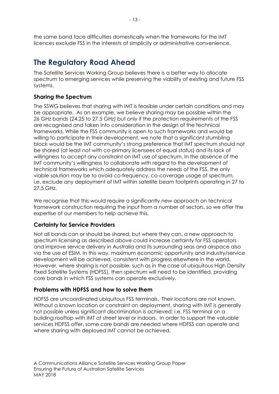the same band face difficulties domestically when the frameworks for the IMT licences exclude FSS in the interests of simplicity or administrative convenience.

# <span id="page-13-0"></span>**The Regulatory Road Ahead**

The Satellite Services Working Group believes there is a better way to allocate spectrum to emerging services while preserving the viability of existing and future FSS systems.

#### <span id="page-13-1"></span>**Sharing the Spectrum**

The SSWG believes that sharing with IMT is feasible under certain conditions and may be appropriate. As an example, we believe sharing may be possible within the 26 GHz bands (24.25 to 27.5 GHz) but only if the protection requirements of the FSS are recognised and taken into consideration in the design of the technical frameworks. While the FSS community is open to such frameworks and would be willing to participate in their development, we note that a significant stumbling block would be the IMT community's strong preference that IMT spectrum should not be shared (at least not with co-primary licensees of equal status) and its lack of willingness to accept any constraint on IMT use of spectrum. In the absence of the IMT community's willingness to collaborate with regard to the development of technical frameworks which adequately address the needs of the FSS, the only viable solution may be to avoid co-frequency, co-coverage usage of spectrum, i.e. exclude any deployment of IMT within satellite beam footprints operating in 27 to 27.5 GHz.

We recognise that this would require a significantly new approach on technical framework construction requiring the input from a number of sectors, so we offer the expertise of our members to help achieve this.

#### <span id="page-13-2"></span>**Certainty for Service Providers**

Not all bands can or should be shared, but where they can, a new approach to spectrum licensing as described above could increase certainty for FSS operators and improve service delivery in Australia and its surrounding seas and airspace also via the use of ESIM. In this way, maximum economic opportunity and industry/service development will be achieved, consistent with progress elsewhere in the world. However, where sharing is not possible, such as in the case of ubiquitous High Density Fixed Satellite Systems (HDFSS), then spectrum will need to be identified, providing core bands in which FSS systems can operate exclusively.

#### <span id="page-13-3"></span>**Problems with HDFSS and how to solve them**

HDFSS are uncoordinated ubiquitous FSS terminals. Their locations are not known. Without a known location or constraint on deployment, sharing with IMT is generally not possible unless significant discrimination is achieved; i.e. FSS terminal on a building rooftop with IMT at street level or indoors. In order to support the valuable services HDFSS offer, some core bands are needed where HDFSS can operate and where sharing with deployed IMT cannot be achieved.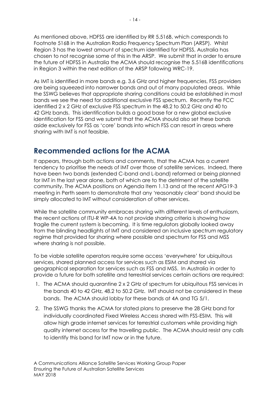As mentioned above, HDFSS are identified by RR 5.516B, which corresponds to Footnote 516B in the Australian Radio Frequency Spectrum Plan (ARSP). Whilst Region 3 has the lowest amount of spectrum identified for HDFSS, Australia has chosen to not recognise some of this in the ARSP. We submit that in order to ensure the future of HDFSS in Australia the ACMA should recognise the 5.516B identifications in Region 3 within the next edition of the ARSP following WRC-19.

As IMT is identified in more bands e.g. 3.6 GHz and higher frequencies, FSS providers are being squeezed into narrower bands and out of many populated areas. While the SSWG believes that appropriate sharing conditions could be established in most bands we see the need for additional exclusive FSS spectrum. Recently the FCC identified 2 x 2 GHz of exclusive FSS spectrum in the 48.2 to 50.2 GHz and 40 to 42 GHz bands. This identification builds a good base for a new global exclusive identification for FSS and we submit that the ACMA should also set these bands aside exclusively for FSS as 'core' bands into which FSS can resort in areas where sharing with IMT is not feasible.

### <span id="page-14-0"></span>**Recommended actions for the ACMA**

It appears, through both actions and comments, that the ACMA has a current tendency to prioritise the needs of IMT over those of satellite services. Indeed, there have been two bands (extended C-band and L-band) reformed or being planned for IMT in the last year alone, both of which are to the detriment of the satellite community. The ACMA positions on Agenda Item 1.13 and at the recent APG19-3 meeting in Perth seem to demonstrate that any 'reasonably clear' band should be simply allocated to IMT without consideration of other services.

While the satellite community embraces sharing with different levels of enthusiasm, the recent actions of ITU-R WP-4A to not provide sharing criteria is showing how fragile the current system is becoming. It is time regulators globally looked away from the blinding headlights of IMT and considered an inclusive spectrum regulatory regime that provided for sharing where possible and spectrum for FSS and MSS where sharing is not possible.

To be viable satellite operators require some access 'everywhere' for ubiquitous services, shared planned access for services such as ESIM and shared via geographical separation for services such as FSS and MSS. In Australia in order to provide a future for both satellite and terrestrial services certain actions are required:

- 1. The ACMA should quarantine 2 x 2 GHz of spectrum for ubiquitous FSS services in the bands 40 to 42 GHz, 48.2 to 50.2 GHz. IMT should not be considered in these bands. The ACMA should lobby for these bands at 4A and TG 5/1.
- 2. The SSWG thanks the ACMA for stated plans to preserve the 28 GHz band for individually coordinated Fixed Wireless Access shared with FSS-ESIM. This will allow high grade internet services for terrestrial customers while providing high quality internet access for the travelling public. The ACMA should resist any calls to identify this band for IMT now or in the future.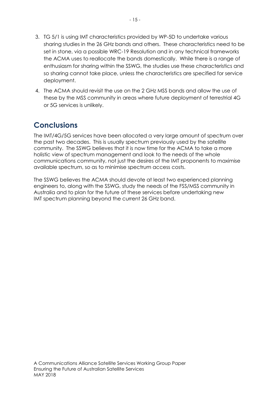- 3. TG 5/1 is using IMT characteristics provided by WP-5D to undertake various sharing studies in the 26 GHz bands and others. These characteristics need to be set in stone, via a possible WRC-19 Resolution and in any technical frameworks the ACMA uses to reallocate the bands domestically. While there is a range of enthusiasm for sharing within the SSWG, the studies use these characteristics and so sharing cannot take place, unless the characteristics are specified for service deployment.
- 4. The ACMA should revisit the use on the 2 GHz MSS bands and allow the use of these by the MSS community in areas where future deployment of terrestrial 4G or 5G services is unlikely.

# <span id="page-15-0"></span>**Conclusions**

The IMT/4G/5G services have been allocated a very large amount of spectrum over the past two decades. This is usually spectrum previously used by the satellite community. The SSWG believes that it is now time for the ACMA to take a more holistic view of spectrum management and look to the needs of the whole communications community, not just the desires of the IMT proponents to maximise available spectrum, so as to minimise spectrum access costs.

The SSWG believes the ACMA should devote at least two experienced planning engineers to, along with the SSWG, study the needs of the FSS/MSS community in Australia and to plan for the future of these services before undertaking new IMT spectrum planning beyond the current 26 GHz band.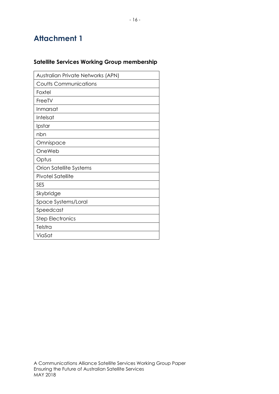# <span id="page-16-0"></span>**Attachment 1**

### **Satellite Services Working Group membership**

| Australian Private Networks (APN) |
|-----------------------------------|
| <b>Coutts Communications</b>      |
| Foxtel                            |
| FreeTV                            |
| Inmarsat                          |
| Intelsat                          |
| Ipstar                            |
| nbn                               |
| Omnispace                         |
| OneWeb                            |
| Optus                             |
| Orion Satellite Systems           |
| <b>Pivotel Satellite</b>          |
| <b>SES</b>                        |
| Skybridge                         |
| Space Systems/Loral               |
| Speedcast                         |
| <b>Step Electronics</b>           |
| Telstra                           |
| ViaSat                            |